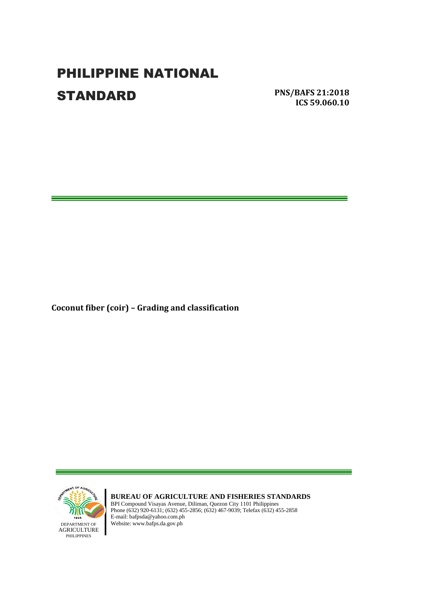# PHILIPPINE NATIONAL **STANDARD**

**PNS/BAFS 21:2018 ICS 59.060.10**

Ξ

**Coconut fiber (coir) – Grading and classification**



**BUREAU OF AGRICULTURE AND FISHERIES STANDARDS** BPI Compound Visayas Avenue, Diliman, Quezon City 1101 Philippines Phone (632) 920-6131; (632) 455-2856; (632) 467-9039; Telefax (632) 455-2858 E-mail: bafpsda@yahoo.com.ph DEPARTMENT OF Website: www.bafps.da.gov.ph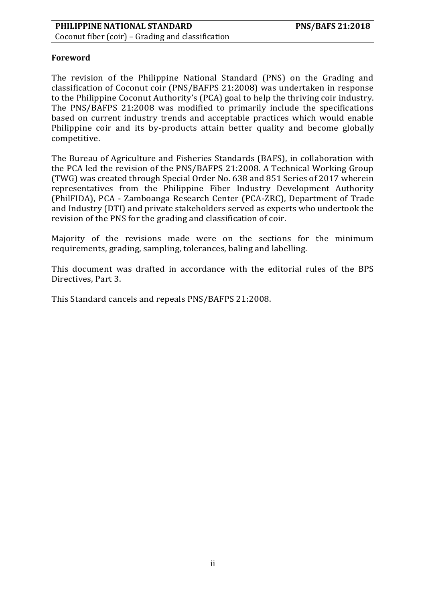Coconut fiber (coir) – Grading and classification

#### **Foreword**

The revision of the Philippine National Standard (PNS) on the Grading and classification of Coconut coir (PNS/BAFPS 21:2008) was undertaken in response to the Philippine Coconut Authority's (PCA) goal to help the thriving coir industry. The PNS/BAFPS 21:2008 was modified to primarily include the specifications based on current industry trends and acceptable practices which would enable Philippine coir and its by-products attain better quality and become globally competitive.

The Bureau of Agriculture and Fisheries Standards (BAFS), in collaboration with the PCA led the revision of the PNS/BAFPS 21:2008. A Technical Working Group (TWG) was created through Special Order No. 638 and 851 Series of 2017 wherein representatives from the Philippine Fiber Industry Development Authority (PhilFIDA), PCA - Zamboanga Research Center (PCA-ZRC), Department of Trade and Industry (DTI) and private stakeholders served as experts who undertook the revision of the PNS for the grading and classification of coir.

Majority of the revisions made were on the sections for the minimum requirements, grading, sampling, tolerances, baling and labelling.

This document was drafted in accordance with the editorial rules of the BPS Directives, Part 3.

This Standard cancels and repeals PNS/BAFPS 21:2008.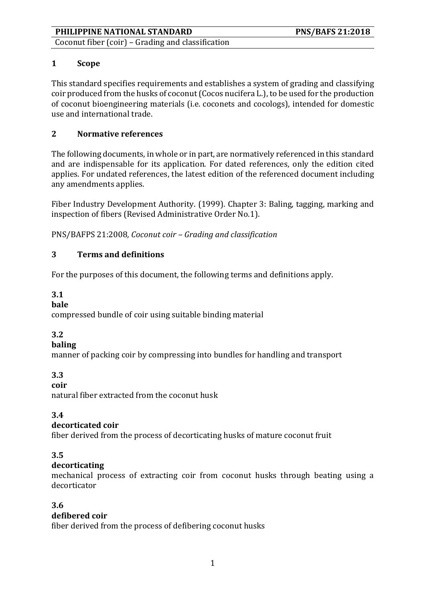Coconut fiber (coir) – Grading and classification

# **1 Scope**

This standard specifies requirements and establishes a system of grading and classifying coir produced from the husks of coconut (Cocos nucifera L.), to be used for the production of coconut bioengineering materials (i.e. coconets and cocologs), intended for domestic use and international trade.

# **2 Normative references**

The following documents, in whole or in part, are normatively referenced in this standard and are indispensable for its application. For dated references, only the edition cited applies. For undated references, the latest edition of the referenced document including any amendments applies.

Fiber Industry Development Authority. (1999). Chapter 3: Baling, tagging, marking and inspection of fibers (Revised Administrative Order No.1).

PNS/BAFPS 21:2008*, Coconut coir – Grading and classification*

# **3 Terms and definitions**

For the purposes of this document, the following terms and definitions apply.

# **3.1**

## **bale**

compressed bundle of coir using suitable binding material

# **3.2**

# **baling**

manner of packing coir by compressing into bundles for handling and transport

# **3.3**

**coir**

natural fiber extracted from the coconut husk

# **3.4**

# **decorticated coir**

fiber derived from the process of decorticating husks of mature coconut fruit

# **3.5**

# **decorticating**

mechanical process of extracting coir from coconut husks through beating using a decorticator

# **3.6**

# **defibered coir**

fiber derived from the process of defibering coconut husks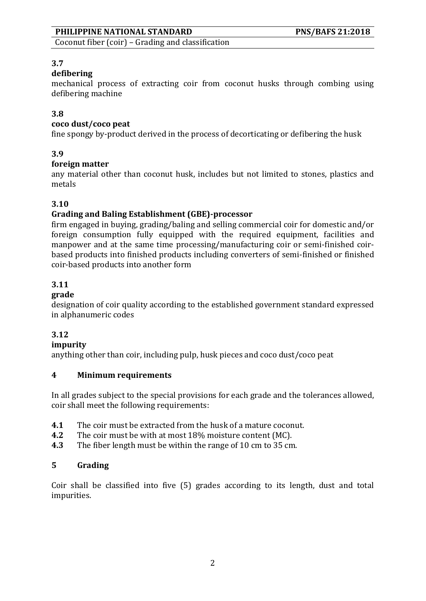Coconut fiber (coir) – Grading and classification

## **3.7**

## **defibering**

mechanical process of extracting coir from coconut husks through combing using defibering machine

## **3.8**

#### **coco dust/coco peat**

fine spongy by-product derived in the process of decorticating or defibering the husk

#### **3.9**

#### **foreign matter**

any material other than coconut husk, includes but not limited to stones, plastics and metals

## **3.10**

## **Grading and Baling Establishment (GBE)-processor**

firm engaged in buying, grading/baling and selling commercial coir for domestic and/or foreign consumption fully equipped with the required equipment, facilities and manpower and at the same time processing/manufacturing coir or semi-finished coirbased products into finished products including converters of semi-finished or finished coir-based products into another form

#### **3.11**

#### **grade**

designation of coir quality according to the established government standard expressed in alphanumeric codes

## **3.12**

#### **impurity**

anything other than coir, including pulp, husk pieces and coco dust/coco peat

#### **4 Minimum requirements**

In all grades subject to the special provisions for each grade and the tolerances allowed, coir shall meet the following requirements:

- **4.1** The coir must be extracted from the husk of a mature coconut.
- **4.2** The coir must be with at most 18% moisture content (MC).
- **4.3** The fiber length must be within the range of 10 cm to 35 cm.

## **5 Grading**

Coir shall be classified into five (5) grades according to its length, dust and total impurities.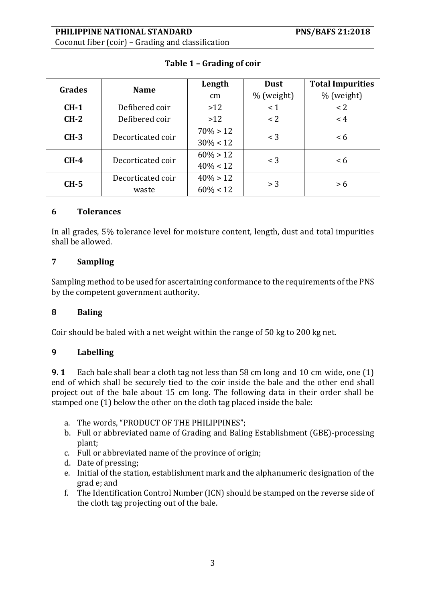Coconut fiber (coir) – Grading and classification

| Grades | <b>Name</b>       | Length      | <b>Dust</b> | <b>Total Impurities</b> |
|--------|-------------------|-------------|-------------|-------------------------|
|        |                   | cm          | % (weight)  | % (weight)              |
| $CH-1$ | Defibered coir    | >12         | $\leq 1$    | < 2                     |
| $CH-2$ | Defibered coir    | >12         | < 2         | < 4                     |
| $CH-3$ | Decorticated coir | $70\% > 12$ | $<$ 3       | < 6                     |
|        |                   | $30\% < 12$ |             |                         |
| $CH-4$ | Decorticated coir | $60\% > 12$ | $<$ 3       | < 6                     |
|        |                   | $40\% < 12$ |             |                         |
| $CH-5$ | Decorticated coir | $40\% > 12$ | > 3         | > 6                     |
|        | waste             | $60\% < 12$ |             |                         |

# **Table 1 – Grading of coir**

#### **6 Tolerances**

In all grades, 5% tolerance level for moisture content, length, dust and total impurities shall be allowed.

## **7 Sampling**

Sampling method to be used for ascertaining conformance to the requirements of the PNS by the competent government authority.

## **8 Baling**

Coir should be baled with a net weight within the range of 50 kg to 200 kg net.

#### **9 Labelling**

**9. 1** Each bale shall bear a cloth tag not less than 58 cm long and 10 cm wide, one (1) end of which shall be securely tied to the coir inside the bale and the other end shall project out of the bale about 15 cm long. The following data in their order shall be stamped one (1) below the other on the cloth tag placed inside the bale:

- a. The words, "PRODUCT OF THE PHILIPPINES";
- b. Full or abbreviated name of Grading and Baling Establishment (GBE)-processing plant;
- c. Full or abbreviated name of the province of origin;
- d. Date of pressing;
- e. Initial of the station, establishment mark and the alphanumeric designation of the grad e; and
- f. The Identification Control Number (ICN) should be stamped on the reverse side of the cloth tag projecting out of the bale.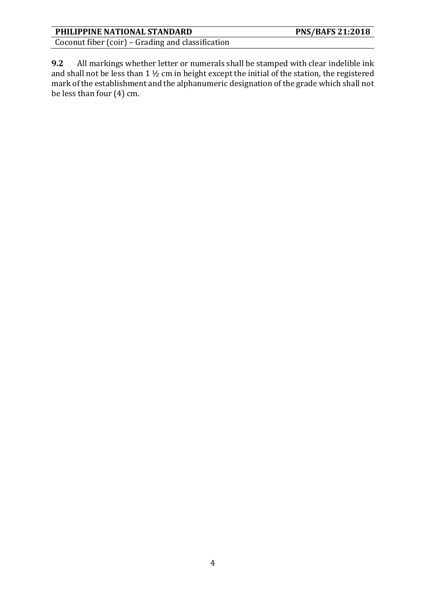Coconut fiber (coir) – Grading and classification

**9.2** All markings whether letter or numerals shall be stamped with clear indelible ink and shall not be less than 1 ½ cm in height except the initial of the station, the registered mark of the establishment and the alphanumeric designation of the grade which shall not be less than four (4) cm.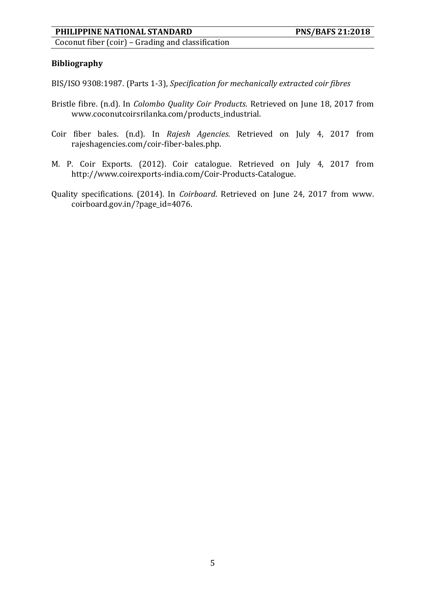Coconut fiber (coir) – Grading and classification

#### **Bibliography**

BIS/ISO 9308:1987. (Parts 1-3), *Specification for mechanically extracted coir fibres*

- Bristle fibre. (n.d). In *Colombo Quality Coir Products*. Retrieved on June 18, 2017 from www.coconutcoirsrilanka.com/products\_industrial.
- Coir fiber bales. (n.d). In *Rajesh Agencies*. Retrieved on July 4, 2017 from rajeshagencies.com/coir-fiber-bales.php.
- M. P. Coir Exports. (2012). Coir catalogue. Retrieved on July 4, 2017 from http://www.coirexports-india.com/Coir-Products-Catalogue.
- Quality specifications. (2014). In *Coirboard*. Retrieved on June 24, 2017 from www. coirboard.gov.in/?page\_id=4076.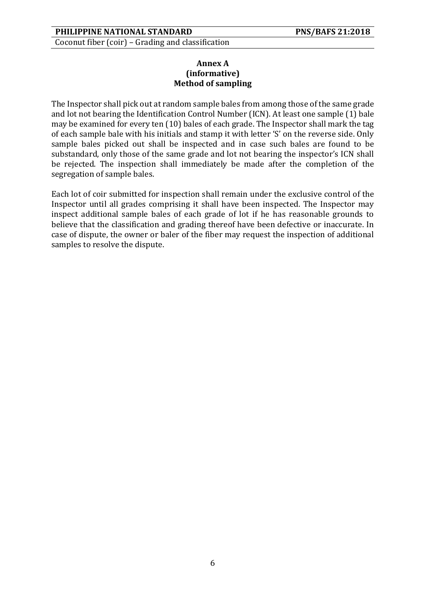Coconut fiber (coir) – Grading and classification

#### **Annex A (informative) Method of sampling**

The Inspector shall pick out at random sample bales from among those of the same grade and lot not bearing the Identification Control Number (ICN). At least one sample (1) bale may be examined for every ten (10) bales of each grade. The Inspector shall mark the tag of each sample bale with his initials and stamp it with letter 'S' on the reverse side. Only sample bales picked out shall be inspected and in case such bales are found to be substandard, only those of the same grade and lot not bearing the inspector's ICN shall be rejected. The inspection shall immediately be made after the completion of the segregation of sample bales.

Each lot of coir submitted for inspection shall remain under the exclusive control of the Inspector until all grades comprising it shall have been inspected. The Inspector may inspect additional sample bales of each grade of lot if he has reasonable grounds to believe that the classification and grading thereof have been defective or inaccurate. In case of dispute, the owner or baler of the fiber may request the inspection of additional samples to resolve the dispute.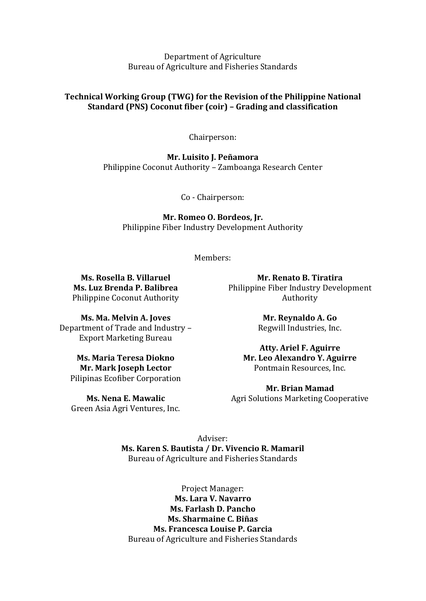Department of Agriculture Bureau of Agriculture and Fisheries Standards

#### **Technical Working Group (TWG) for the Revision of the Philippine National Standard (PNS) Coconut fiber (coir) – Grading and classification**

Chairperson:

**Mr. Luisito J. Peñamora** Philippine Coconut Authority – Zamboanga Research Center

Co - Chairperson:

**Mr. Romeo O. Bordeos, Jr.** Philippine Fiber Industry Development Authority

Members:

**Ms. Rosella B. Villaruel Ms. Luz Brenda P. Balibrea** Philippine Coconut Authority

**Ms. Ma. Melvin A. Joves** Department of Trade and Industry – Export Marketing Bureau

**Ms. Maria Teresa Diokno Mr. Mark Joseph Lector** Pilipinas Ecofiber Corporation

**Ms. Nena E. Mawalic** Green Asia Agri Ventures, Inc.

**Mr. Renato B. Tiratira** Philippine Fiber Industry Development Authority

> **Mr. Reynaldo A. Go** Regwill Industries, Inc.

**Atty. Ariel F. Aguirre Mr. Leo Alexandro Y. Aguirre** Pontmain Resources, Inc.

**Mr. Brian Mamad** Agri Solutions Marketing Cooperative

Adviser: **Ms. Karen S. Bautista / Dr. Vivencio R. Mamaril** Bureau of Agriculture and Fisheries Standards

Project Manager: **Ms. Lara V. Navarro Ms. Farlash D. Pancho Ms. Sharmaine C. Biñas Ms. Francesca Louise P. Garcia** Bureau of Agriculture and Fisheries Standards